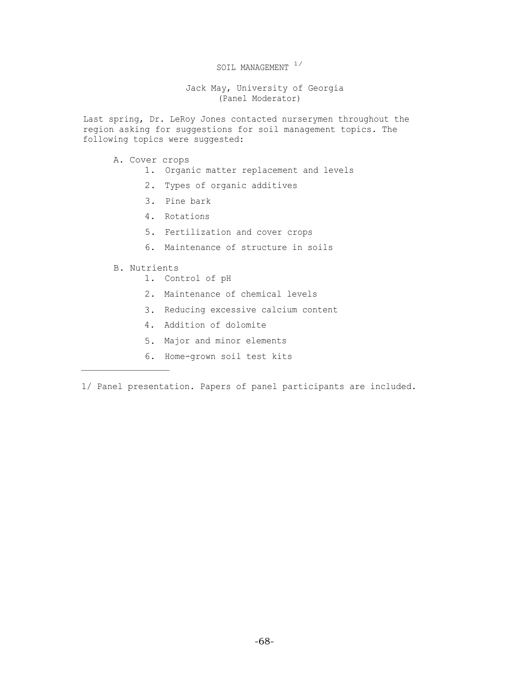## SOIL MANAGEMENT  $1/$

Jack May, University of Georgia (Panel Moderator)

Last spring, Dr. LeRoy Jones contacted nurserymen throughout the region asking for suggestions for soil management topics. The following topics were suggested:

- A. Cover crops
	- 1. Organic matter replacement and levels
	- 2. Types of organic additives
	- 3. Pine bark
	- 4. Rotations
	- 5. Fertilization and cover crops
	- 6. Maintenance of structure in soils
- B. Nutrients
	- 1. Control of pH
	- 2. Maintenance of chemical levels
	- 3. Reducing excessive calcium content
	- 4. Addition of dolomite
	- 5. Major and minor elements
	- 6. Home-grown soil test kits

1/ Panel presentation. Papers of panel participants are included.